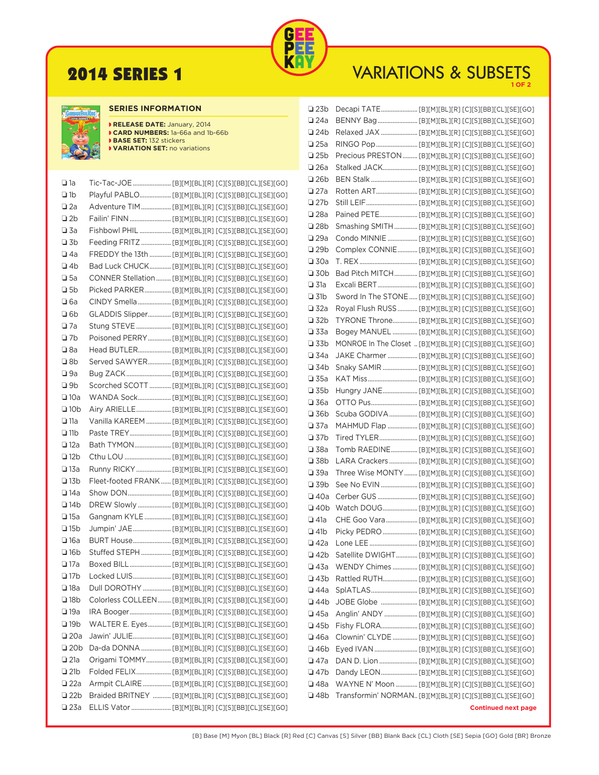

# **2014 SERIES 1** VARIATIONS & SUBSETS



## **SERIES INFORMATION**

| RELEASE DATE: January, 2014     |
|---------------------------------|
| CARD NUMBERS: 1a-66a and 1b-66b |
| <b>BASE SET: 132 stickers</b>   |
| VARIATION SET: no variations    |

| $\square$ 1a  |                                                          |
|---------------|----------------------------------------------------------|
| $\n  1b$      | Playful PABLO [B][M][BL][R] [C][S][BB][CL][SE][GO]       |
| $\square$ 2a  | Adventure TIM  [B][M][BL][R] [C][S][BB][CL][SE][GO]      |
| $\n  2b\n$    |                                                          |
| $\square$ 3a  | Fishbowl PHIL  [B][M][BL][R] [C][S][BB][CL][SE][GO]      |
| $\n  1$ 3b    | Feeding FRITZ  [B][M][BL][R] [C][S][BB][CL][SE][GO]      |
| $\square$ 4a  | FREDDY the 13th  [B][M][BL][R] [C][S][BB][CL][SE][GO]    |
| <b>⊒</b> 4b   | Bad Luck CHUCK [B][M][BL][R] [C][S][BB][CL][SE][GO]      |
| $\square$ 5a  | CONNER Stellation  [B][M][BL][R] [C][S][BB][CL][SE][GO]  |
| □ 5b          | Picked PARKER [B][M][BL][R] [C][S][BB][CL][SE][GO]       |
| $\Box$ 6a     | CINDY Smella  [B][M][BL][R] [C][S][BB][CL][SE][GO]       |
| $\n  ab\n$    | GLADDIS Slipper [B][M][BL][R] [C][S][BB][CL][SE][GO]     |
| $\square$ 7a  | Stung STEVE  [B][M][BL][R] [C][S][BB][CL][SE][GO]        |
| $\n  17b\n$   | Poisoned PERRY [B][M][BL][R] [C][S][BB][CL][SE][GO]      |
| $\square$ 8a  | Head BUTLER [B][M][BL][R] [C][S][BB][CL][SE][GO]         |
| □ 8b          | Served SAWYER [B][M][BL][R] [C][S][BB][CL][SE][GO]       |
| $\square$ 9a  | Bug ZACK  [B][M][BL][R] [C][S][BB][CL][SE][GO]           |
| □ 9b          | Scorched SCOTT  [B][M][BL][R] [C][S][BB][CL][SE][GO]     |
| $\square$ 10a | WANDA Sock [B][M][BL][R] [C][S][BB][CL][SE][GO]          |
| <b>□</b> 10b  |                                                          |
| $\square$ 11a | Vanilla KAREEM  [B][M][BL][R] [C][S][BB][CL][SE][GO]     |
| <b>□</b> 11b  |                                                          |
| $\square$ 12a |                                                          |
| <b>□</b> 12b  |                                                          |
| $\square$ 13a | Runny RICKY  [B][M][BL][R] [C][S][BB][CL][SE][GO]        |
| <b>□</b> 13b  | Fleet-footed FRANK  [B][M][BL][R] [C][S][BB][CL][SE][GO] |
| $\square$ 14a |                                                          |
| <b>⊒</b> 14b  | DREW Slowly  [B][M][BL][R] [C][S][BB][CL][SE][GO]        |
| $\square$ 15a | Gangnam KYLE  [B][M][BL][R] [C][S][BB][CL][SE][GO]       |
| <b>□</b> 15b  | Jumpin' JAE  [B][M][BL][R] [C][S][BB][CL][SE][GO]        |
| <b>□</b> 16a  | BURT House [B][M][BL][R] [C][S][BB][CL][SE][GO]          |
| <b>□</b> 16b  | Stuffed STEPH  [B][M][BL][R] [C][S][BB][CL][SE][GO]      |
| $\square$ 17a |                                                          |
| <b>⊒</b> 17b  | Locked LUIS [B][M][BL][R] [C][S][BB][CL][SE][GO]         |
| $\square$ 18a | Dull DOROTHY  [B][M][BL][R] [C][S][BB][CL][SE][GO]       |
| <b>□</b> 18b  | Colorless COLLEEN  [B][M][BL][R] [C][S][BB][CL][SE][GO]  |
| $\square$ 19a | IRA Booger [B][M][BL][R] [C][S][BB][CL][SE][GO]          |
| $\n  19b\n$   | WALTER E. Eyes [B][M][BL][R] [C][S][BB][CL][SE][GO]      |
| $\square$ 20a |                                                          |
| $\n  20b\n$   | Da-da DONNA  [B][M][BL][R] [C][S][BB][CL][SE][GO]        |
| $\square$ 21a | Origami TOMMY [B][M][BL][R] [C][S][BB][CL][SE][GO]       |
| $\n  21b\n$   | Folded FELIX [B][M][BL][R] [C][S][BB][CL][SE][GO]        |
| $\square$ 22a | Armpit CLAIRE  [B][M][BL][R] [C][S][BB][CL][SE][GO]      |
| $\n  22b\n$   | Braided BRITNEY  [B][M][BL][R] [C][S][BB][CL][SE][GO]    |
| $\square$ 23a |                                                          |
|               |                                                          |

| <b>□ 23b</b>  |                                                            |                                                          |
|---------------|------------------------------------------------------------|----------------------------------------------------------|
| $\square$ 24a | BENNY Bag  [B][M][BL][R] [C][S][BB][CL][SE][GO]            |                                                          |
| $\n  24b\n$   | Relaxed JAX  [B][M][BL][R] [C][S][BB][CL][SE][GO]          |                                                          |
| $\square$ 25a | RINGO Pop  [B][M][BL][R] [C][S][BB][CL][SE][GO]            |                                                          |
| $\n  25b\n$   | Precious PRESTON  [B][M][BL][R] [C][S][BB][CL][SE][GO]     |                                                          |
| $\square$ 26a | Stalked JACK [B][M][BL][R] [C][S][BB][CL][SE][GO]          |                                                          |
| <b>□ 26b</b>  |                                                            |                                                          |
| $\square$ 27a |                                                            |                                                          |
| <b>□</b> 27b  |                                                            |                                                          |
| $\square$ 28a |                                                            |                                                          |
| <b>□ 28b</b>  | Smashing SMITH  [B][M][BL][R] [C][S][BB][CL][SE][GO]       |                                                          |
| $\square$ 29a | Condo MINNIE  [B][M][BL][R] [C][S][BB][CL][SE][GO]         |                                                          |
| $\n  29b\n$   | Complex CONNIE  [B][M][BL][R] [C][S][BB][CL][SE][GO]       |                                                          |
| $\square$ 30a |                                                            |                                                          |
| <b>□</b> 30b  | Bad Pitch MITCH [B][M][BL][R] [C][S][BB][CL][SE][GO]       |                                                          |
| $\square$ 31a | Excali BERT  [B][M][BL][R] [C][S][BB][CL][SE][GO]          |                                                          |
| $\square$ 31b | Sword In The STONE  [B][M][BL][R] [C][S][BB][CL][SE][GO]   |                                                          |
| $\square$ 32a | Royal Flush RUSS  [B][M][BL][R] [C][S][BB][CL][SE][GO]     |                                                          |
| <b>□</b> 32b  | TYRONE Throne [B][M][BL][R] [C][S][BB][CL][SE][GO]         |                                                          |
| $\square$ 33a |                                                            |                                                          |
| $\square$ 33b | MONROE In The Closet  [B][M][BL][R] [C][S][BB][CL][SE][GO] |                                                          |
| $\square$ 34a | JAKE Charmer  [B][M][BL][R] [C][S][BB][CL][SE][GO]         |                                                          |
| <b>□</b> 34b  | Snaky SAMIR  [B][M][BL][R] [C][S][BB][CL][SE][GO]          |                                                          |
| $\square$ 35a |                                                            |                                                          |
| <b>□</b> 35b  | Hungry JANE [B][M][BL][R] [C][S][BB][CL][SE][GO]           |                                                          |
| <b>□</b> 36a  |                                                            |                                                          |
| <b>□</b> 36b  | Scuba GODIVA [B][M][BL][R] [C][S][BB][CL][SE][GO]          |                                                          |
| $\square$ 37a | MAHMUD Flap  [B][M][BL][R] [C][S][BB][CL][SE][GO]          |                                                          |
| □ 37b         | Tired TYLER [B][M][BL][R] [C][S][BB][CL][SE][GO]           |                                                          |
| $\square$ 38a | Tomb RAEDINE [B][M][BL][R] [C][S][BB][CL][SE][GO]          |                                                          |
| <b>□</b> 38b  | LARA Crackers  [B][M][BL][R] [C][S][BB][CL][SE][GO]        |                                                          |
| $\square$ 39a | Three Wise MONTY  [B][M][BL][R] [C][S][BB][CL][SE][GO]     |                                                          |
| <b>□</b> 39b  |                                                            |                                                          |
| <b>□</b> 40a  | Cerber GUS  [B][M][BL][R] [C][S][BB][CL][SE][GO]           |                                                          |
| <b>⊒</b> 40b  | Watch DOUG [B][M][BL][R] [C][S][BB][CL][SE][GO]            |                                                          |
| $\square$ 41a | CHE Goo Vara [B][M][BL][R] [C][S][BB][CL][SE][GO]          |                                                          |
| <b>□</b> 41b  | Picky PEDRO  [B][M][BL][R] [C][S][BB][CL][SE][GO]          |                                                          |
| $\Box$ 42a    |                                                            |                                                          |
| <b>□</b> 42b  |                                                            | Satellite DWIGHT [B][M][BL][R] [C][S][BB][CL][SE][GO]    |
| $\square$ 43a |                                                            | WENDY Chimes  [B][M][BL][R] [C][S][BB][CL][SE][GO]       |
| □ 43b         |                                                            |                                                          |
| <b>□</b> 44a  |                                                            |                                                          |
| <b>⊒</b> 44b  |                                                            |                                                          |
| $\square$ 45a |                                                            | Anglin' ANDY  [B][M][BL][R] [C][S][BB][CL][SE][GO]       |
| $\square$ 45b |                                                            |                                                          |
| <b>□</b> 46a  |                                                            | Clownin' CLYDE  [B][M][BL][R] [C][S][BB][CL][SE][GO]     |
| <b>⊒</b> 46b  |                                                            |                                                          |
| □ 47a         |                                                            |                                                          |
| <b>□</b> 47b  |                                                            |                                                          |
| $\square$ 48a |                                                            | WAYNE N' Moon  [B][M][BL][R] [C][S][BB][CL][SE][GO]      |
| <b>⊒</b> 48b  |                                                            | Transformin' NORMAN [B][M][BL][R] [C][S][BB][CL][SE][GO] |
|               |                                                            |                                                          |